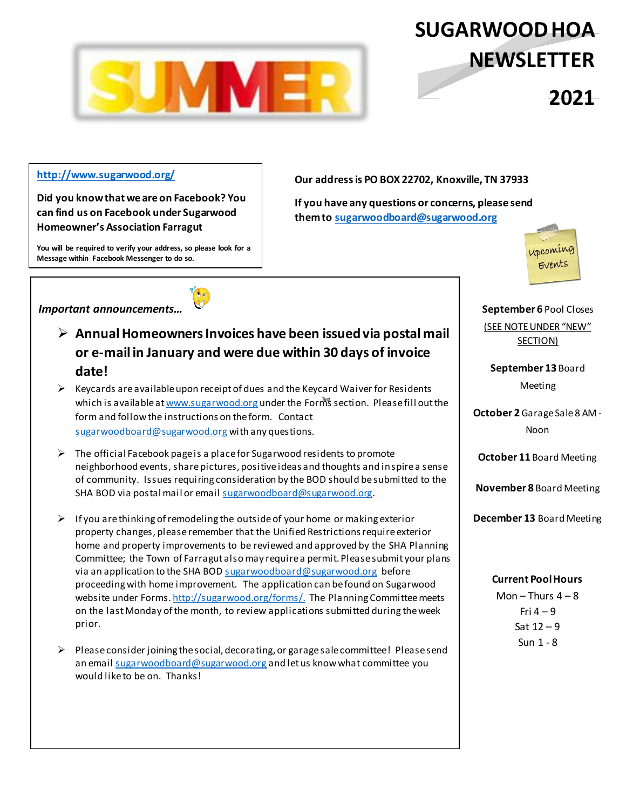

# **SUGARWOODHOA NEWSLETTER NEWYEAR2021**

## **http://www.sugarwood.org/**

**Did you know that we are on Facebook? You can find us on Facebook under Sugarwood Homeoǁner͛s Association Farragut**

**You will be required to verify your address, so please look for a Message within Facebook Messenger to do so.** 

**Our address is PO BOX 22702, Knoxville, TN 37933**

**If you have any questions or concerns, please send them to sugarwoodboard@sugarwood.org**



**September 6** Pool Closes (SEE NOTE UNDER "NEW" SECTION)

**September 13** Board Meeting

**October 2**Garage Sale 8 AM - Noon

**October 11** Board Meeting

**November 8** Board Meeting

**December 13** Board Meeting

### **Current Pool Hours**

Mon  $-$  Thurs  $4 - 8$ Fri  $4 - 9$ Sat  $12 - 9$ Sun 1 - 8



- ¾ **Annual Homeowners Invoices have been issued via postal mail or e-mail in January and were due within 30 days of invoice date!**
- $\triangleright$  Keycards are available upon receipt of dues and the Keycard Waiver for Residents which is available at <u>www.sugarwood.org</u> under the Form<sup>s</sup> section. Please fill out the form and follow the instructions on the form. Contact sugarwoodboard@sugarwood.org with any questions.
- $\triangleright$  The official Facebook page is a place for Sugarwood residents to promote neighborhood events, share pictures, positive ideas and thoughts and inspire a sense of community. Issues requiring consideration by the BOD should be submitted to the SHA BOD via postal mail or email sugarwoodboard@sugarwood.org.
- $\triangleright$  If you are thinking of remodeling the outside of your home or making exterior property changes, please remember that the Unified Restrictions require exterior home and property improvements to be reviewed and approved by the SHA Planning Committee; the Town of Farragut also may require a permit. Please submit your plans via an application to the SHA BOD sugarwoodboard@sugarwood.org before proceeding with home improvement. The application can be found on Sugarwood website under Forms. http://sugarwood.org/forms/. The Planning Committee meets on the last Monday of the month, to review applications submitted during the week prior.
- $\triangleright$  Please consider joining the social, decorating, or garage sale committee! Please send an email sugarwoodboard@sugarwood.org and let us know what committee you would like to be on. Thanks!